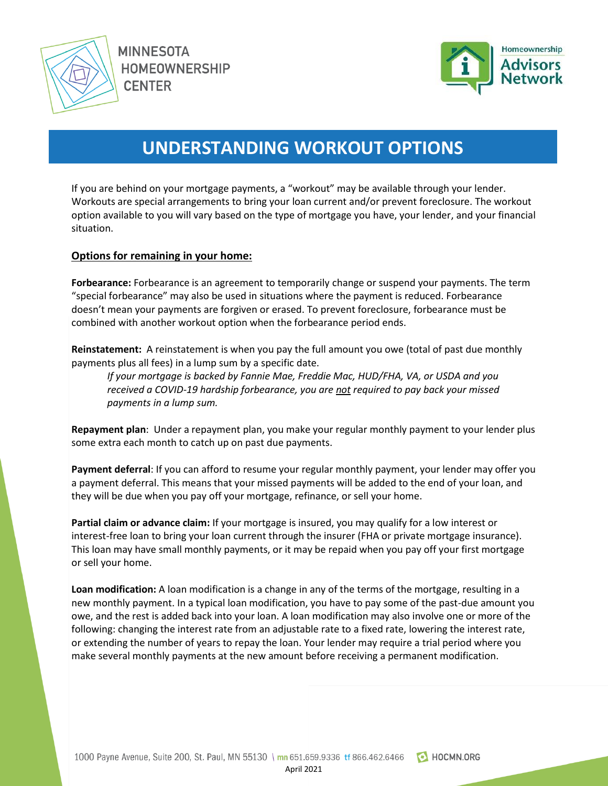

**MINNESOTA HOMEOWNERSHIP CENTER** 



# **UNDERSTANDING WORKOUT OPTIONS**

If you are behind on your mortgage payments, a "workout" may be available through your lender. Workouts are special arrangements to bring your loan current and/or prevent foreclosure. The workout option available to you will vary based on the type of mortgage you have, your lender, and your financial situation.

#### **Options for remaining in your home:**

**Forbearance:** Forbearance is an agreement to temporarily change or suspend your payments. The term "special forbearance" may also be used in situations where the payment is reduced. Forbearance doesn't mean your payments are forgiven or erased. To prevent foreclosure, forbearance must be combined with another workout option when the forbearance period ends.

**Reinstatement:** A reinstatement is when you pay the full amount you owe (total of past due monthly payments plus all fees) in a lump sum by a specific date.

*If your mortgage is backed by Fannie Mae, Freddie Mac, HUD/FHA, VA, or USDA and you received a COVID-19 hardship forbearance, you are not required to pay back your missed payments in a lump sum.*

**Repayment plan**: Under a repayment plan, you make your regular monthly payment to your lender plus some extra each month to catch up on past due payments.

**Payment deferral**: If you can afford to resume your regular monthly payment, your lender may offer you a payment deferral. This means that your missed payments will be added to the end of your loan, and they will be due when you pay off your mortgage, refinance, or sell your home.

**Partial claim or advance claim:** If your mortgage is insured, you may qualify for a low interest or interest-free loan to bring your loan current through the insurer (FHA or private mortgage insurance). This loan may have small monthly payments, or it may be repaid when you pay off your first mortgage or sell your home.

**Loan modification:** A loan modification is a change in any of the terms of the mortgage, resulting in a new monthly payment. In a typical loan modification, you have to pay some of the past-due amount you owe, and the rest is added back into your loan. A loan modification may also involve one or more of the following: changing the interest rate from an adjustable rate to a fixed rate, lowering the interest rate, or extending the number of years to repay the loan. Your lender may require a trial period where you make several monthly payments at the new amount before receiving a permanent modification.